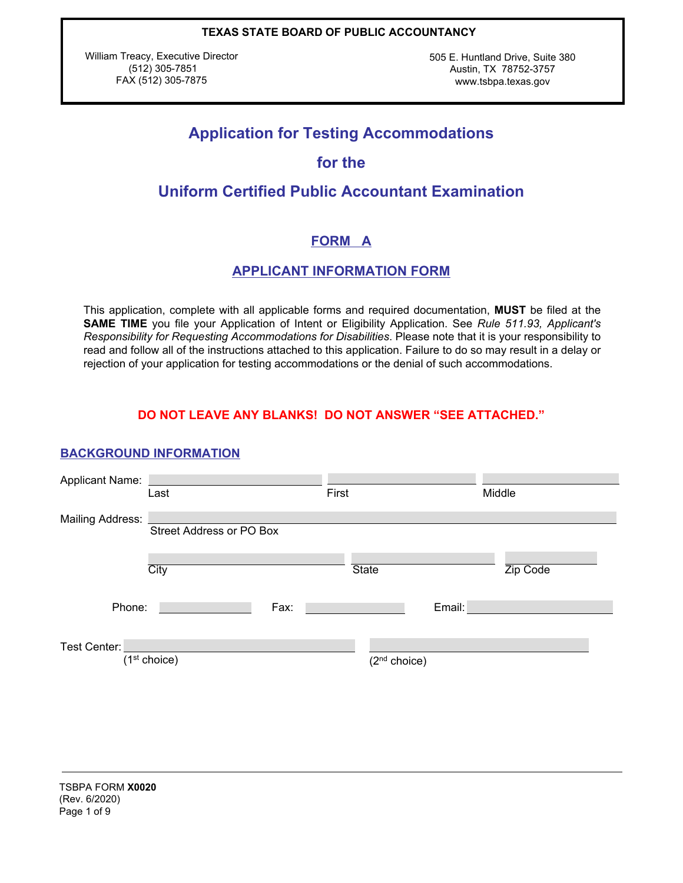William Treacy, Executive Director (512) 305-7851 FAX (512) 305-7875

505 E. Huntland Drive, Suite 380 Austin, TX 78752-3757 www.tsbpa.texas.gov

# **Application for Testing Accommodations**

# **for the**

# **Uniform Certified Public Accountant Examination**

# **FORM A**

## **APPLICANT INFORMATION FORM**

This application, complete with all applicable forms and required documentation, **MUST** be filed at the **SAME TIME** you file your Application of Intent or Eligibility Application. See *Rule 511.93, Applicant's Responsibility for Requesting Accommodations for Disabilities*. Please note that it is your responsibility to read and follow all of the instructions attached to this application. Failure to do so may result in a delay or rejection of your application for testing accommodations or the denial of such accommodations.

## **DO NOT LEAVE ANY BLANKS! DO NOT ANSWER "SEE ATTACHED."**

## **BACKGROUND INFORMATION**

| Applicant Name:  |                          |      |              |                          |          |
|------------------|--------------------------|------|--------------|--------------------------|----------|
|                  | Last                     |      | First        |                          | Middle   |
| Mailing Address: |                          |      |              |                          |          |
|                  | Street Address or PO Box |      |              |                          |          |
|                  |                          |      |              |                          |          |
|                  | City                     |      | <b>State</b> |                          | Zip Code |
|                  |                          |      |              |                          |          |
| Phone:           |                          | Fax: |              | Email:                   |          |
|                  |                          |      |              |                          |          |
| Test Center:     |                          |      |              |                          |          |
|                  | (1 <sup>st</sup> choice) |      |              | (2 <sup>nd</sup> choice) |          |
|                  |                          |      |              |                          |          |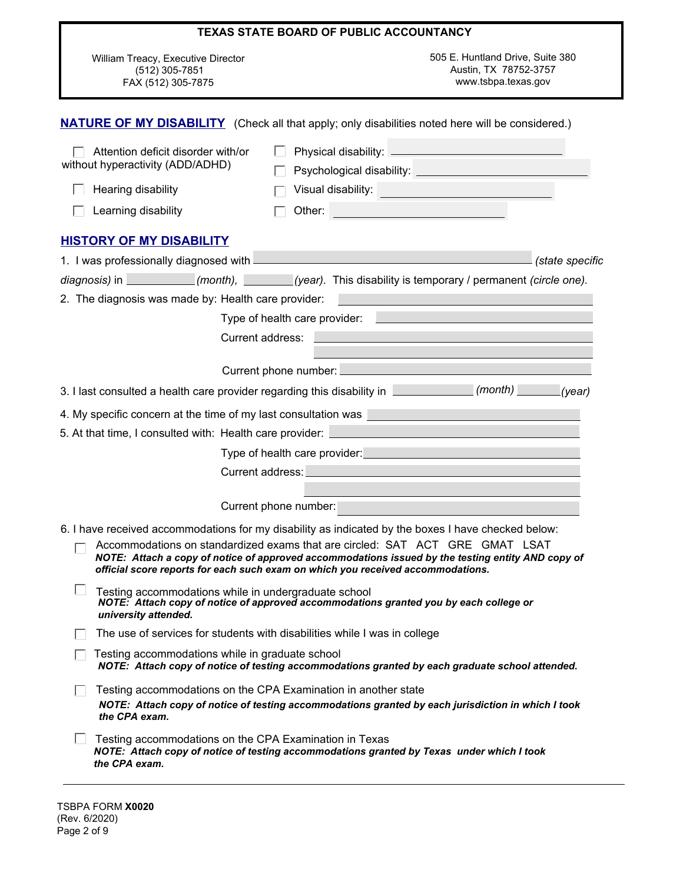|                                                                              | <b>TEXAS STATE BOARD OF PUBLIC ACCOUNTANCY</b>                                                                                                                                                                                                                       |
|------------------------------------------------------------------------------|----------------------------------------------------------------------------------------------------------------------------------------------------------------------------------------------------------------------------------------------------------------------|
| William Treacy, Executive Director<br>(512) 305-7851<br>FAX (512) 305-7875   | 505 E. Huntland Drive, Suite 380<br>Austin, TX 78752-3757<br>www.tsbpa.texas.gov                                                                                                                                                                                     |
|                                                                              | <b>NATURE OF MY DISABILITY</b> (Check all that apply; only disabilities noted here will be considered.)                                                                                                                                                              |
| Attention deficit disorder with/or<br>without hyperactivity (ADD/ADHD)       |                                                                                                                                                                                                                                                                      |
| Hearing disability                                                           | Visual disability: <u>www.community.com/industrials/industrials/industrials/industrials/industrials/industrials/in</u>                                                                                                                                               |
| Learning disability                                                          | Other:                                                                                                                                                                                                                                                               |
| <b>HISTORY OF MY DISABILITY</b>                                              |                                                                                                                                                                                                                                                                      |
|                                                                              | 1. I was professionally diagnosed with <b>example and all all any of the set of the set of the set of the set of the set of the set of the set of the set of the set of the set of the set of the set of the set of the set of t</b><br>(state specific              |
|                                                                              | diagnosis) in ___________(month), _______(year). This disability is temporary / permanent (circle one).                                                                                                                                                              |
| 2. The diagnosis was made by: Health care provider:                          |                                                                                                                                                                                                                                                                      |
|                                                                              | Type of health care provider:                                                                                                                                                                                                                                        |
|                                                                              | Current address:                                                                                                                                                                                                                                                     |
|                                                                              | Current phone number:                                                                                                                                                                                                                                                |
|                                                                              | 3. I last consulted a health care provider regarding this disability in <b>Constanting (month)</b> (vear)                                                                                                                                                            |
| 4. My specific concern at the time of my last consultation was               |                                                                                                                                                                                                                                                                      |
| 5. At that time, I consulted with: Health care provider:                     |                                                                                                                                                                                                                                                                      |
|                                                                              | Type of health care provider:<br>                                                                                                                                                                                                                                    |
|                                                                              | Current address: University of the Current and the Current and the Current of the Current of the Current of the                                                                                                                                                      |
|                                                                              |                                                                                                                                                                                                                                                                      |
|                                                                              | Current phone number:                                                                                                                                                                                                                                                |
|                                                                              | 6. I have received accommodations for my disability as indicated by the boxes I have checked below:                                                                                                                                                                  |
|                                                                              | Accommodations on standardized exams that are circled: SAT ACT GRE GMAT LSAT<br>NOTE: Attach a copy of notice of approved accommodations issued by the testing entity AND copy of<br>official score reports for each such exam on which you received accommodations. |
| Testing accommodations while in undergraduate school<br>university attended. | NOTE: Attach copy of notice of approved accommodations granted you by each college or                                                                                                                                                                                |
|                                                                              | The use of services for students with disabilities while I was in college                                                                                                                                                                                            |
| Testing accommodations while in graduate school                              | NOTE: Attach copy of notice of testing accommodations granted by each graduate school attended.                                                                                                                                                                      |
| the CPA exam.                                                                | Testing accommodations on the CPA Examination in another state<br>NOTE: Attach copy of notice of testing accommodations granted by each jurisdiction in which I took                                                                                                 |
| Testing accommodations on the CPA Examination in Texas<br>the CPA exam.      | NOTE: Attach copy of notice of testing accommodations granted by Texas under which I took                                                                                                                                                                            |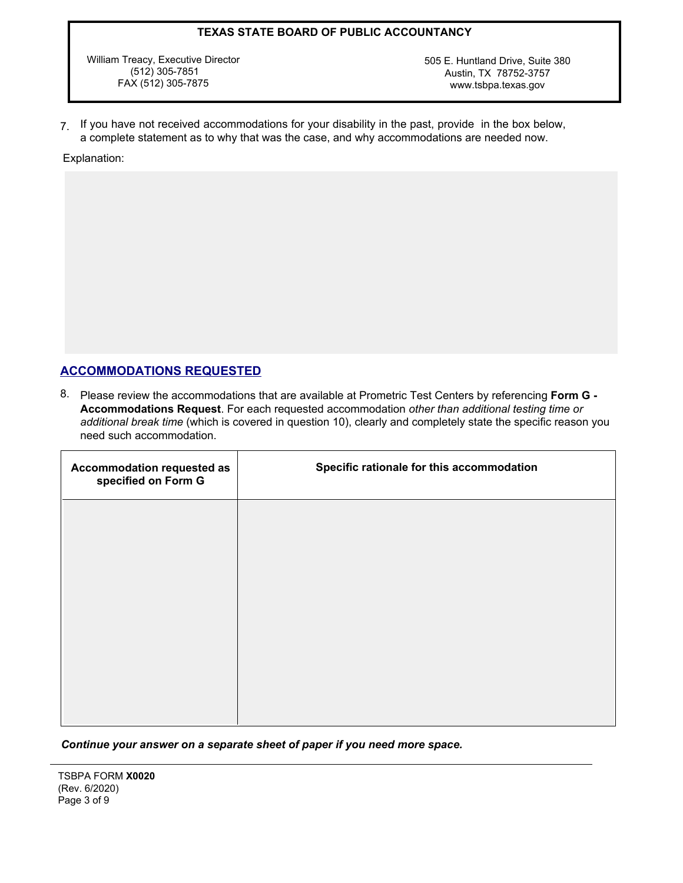William Treacy, Executive Director (512) 305-7851 FAX (512) 305-7875

505 E. Huntland Drive, Suite 380 Austin, TX 78752-3757 www.tsbpa.texas.gov

7. If you have not received accommodations for your disability in the past, provide in the box below, a complete statement as to why that was the case, and why accommodations are needed now.

Explanation:

## **ACCOMMODATIONS REQUESTED**

8. Please review the accommodations that are available at Prometric Test Centers by referencing **Form G - Accommodations Request**. For each requested accommodation *other than additional testing time or additional break time* (which is covered in question 10), clearly and completely state the specific reason you need such accommodation.

| Accommodation requested as<br>specified on Form G | Specific rationale for this accommodation |
|---------------------------------------------------|-------------------------------------------|
|                                                   |                                           |
|                                                   |                                           |
|                                                   |                                           |
|                                                   |                                           |
|                                                   |                                           |

#### *Continue your answer on a separate sheet of paper if you need more space.*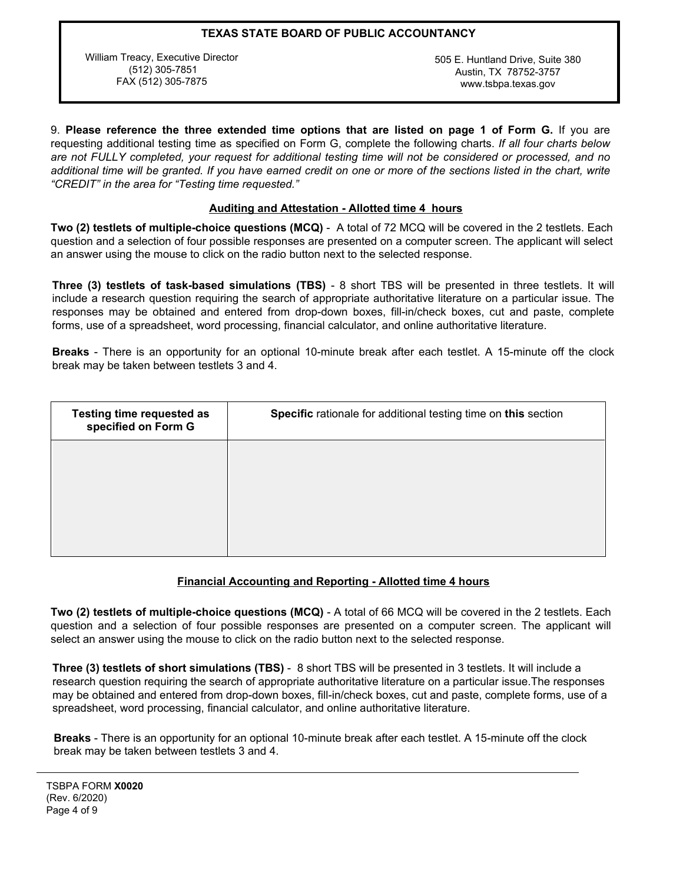William Treacy, Executive Director (512) 305-7851 FAX (512) 305-7875

505 E. Huntland Drive, Suite 380 Austin, TX 78752-3757 www.tsbpa.texas.gov

9. **Please reference the three extended time options that are listed on page 1 of Form G.** If you are requesting additional testing time as specified on Form G, complete the following charts. *If all four charts below are not FULLY completed, your request for additional testing time will not be considered or processed, and no*  additional time will be granted. If you have earned credit on one or more of the sections listed in the chart, write *"CREDIT" in the area for "Testing time requested."*

### **Auditing and Attestation - Allotted time 4 hours**

**Two (2) testlets of multiple-choice questions (MCQ)** - A total of 72 MCQ will be covered in the 2 testlets. Each question and a selection of four possible responses are presented on a computer screen. The applicant will select an answer using the mouse to click on the radio button next to the selected response.

**Three (3) testlets of task-based simulations (TBS)** - 8 short TBS will be presented in three testlets. It will include a research question requiring the search of appropriate authoritative literature on a particular issue. The responses may be obtained and entered from drop-down boxes, fill-in/check boxes, cut and paste, complete forms, use of a spreadsheet, word processing, financial calculator, and online authoritative literature.

**Breaks** - There is an opportunity for an optional 10-minute break after each testlet. A 15-minute off the clock break may be taken between testlets 3 and 4.

| <b>Testing time requested as</b><br>specified on Form G | Specific rationale for additional testing time on this section |  |
|---------------------------------------------------------|----------------------------------------------------------------|--|
|                                                         |                                                                |  |
|                                                         |                                                                |  |
|                                                         |                                                                |  |

#### **Financial Accounting and Reporting - Allotted time 4 hours**

**Two (2) testlets of multiple-choice questions (MCQ)** - A total of 66 MCQ will be covered in the 2 testlets. Each question and a selection of four possible responses are presented on a computer screen. The applicant will select an answer using the mouse to click on the radio button next to the selected response.

**Three (3) testlets of short simulations (TBS)** - 8 short TBS will be presented in 3 testlets. It will include a research question requiring the search of appropriate authoritative literature on a particular issue.The responses may be obtained and entered from drop-down boxes, fill-in/check boxes, cut and paste, complete forms, use of a spreadsheet, word processing, financial calculator, and online authoritative literature.

**Breaks** - There is an opportunity for an optional 10-minute break after each testlet. A 15-minute off the clock break may be taken between testlets 3 and 4.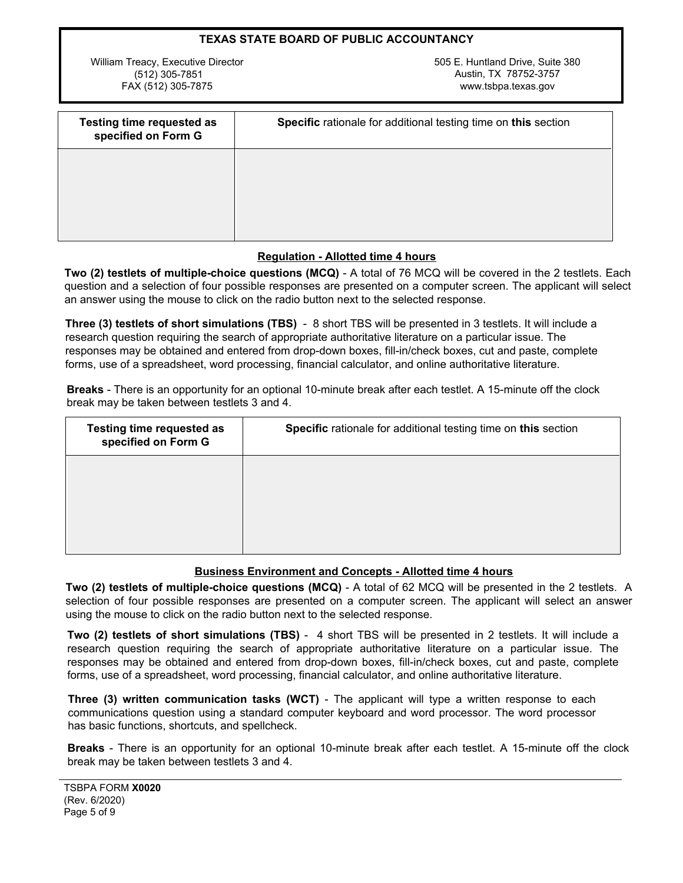| <b>TEXAS STATE BOARD OF PUBLIC ACCOUNTANCY</b> |                                  |  |
|------------------------------------------------|----------------------------------|--|
| William Treacy, Executive Director             | 505 E. Huntland Drive. Suite 380 |  |
| $(512)$ 305-7851                               | Austin, TX 78752-3757            |  |
| FAX (512) 305-7875                             | www.tsbpa.texas.gov              |  |

| <b>Testing time requested as</b><br>specified on Form G | Specific rationale for additional testing time on this section |
|---------------------------------------------------------|----------------------------------------------------------------|
|                                                         |                                                                |
|                                                         |                                                                |
|                                                         |                                                                |

### **Regulation - Allotted time 4 hours**

**Two (2) testlets of multiple-choice questions (MCQ)** - A total of 76 MCQ will be covered in the 2 testlets. Each question and a selection of four possible responses are presented on a computer screen. The applicant will select an answer using the mouse to click on the radio button next to the selected response.

**Three (3) testlets of short simulations (TBS)** - 8 short TBS will be presented in 3 testlets. It will include a research question requiring the search of appropriate authoritative literature on a particular issue. The responses may be obtained and entered from drop-down boxes, fill-in/check boxes, cut and paste, complete forms, use of a spreadsheet, word processing, financial calculator, and online authoritative literature.

**Breaks** - There is an opportunity for an optional 10-minute break after each testlet. A 15-minute off the clock break may be taken between testlets 3 and 4.

| <b>Testing time requested as</b><br>specified on Form G | Specific rationale for additional testing time on this section |
|---------------------------------------------------------|----------------------------------------------------------------|
|                                                         |                                                                |
|                                                         |                                                                |
|                                                         |                                                                |

#### **Business Environment and Concepts - Allotted time 4 hours**

**Two (2) testlets of multiple-choice questions (MCQ)** - A total of 62 MCQ will be presented in the 2 testlets. A selection of four possible responses are presented on a computer screen. The applicant will select an answer using the mouse to click on the radio button next to the selected response.

 **Two (2) testlets of short simulations (TBS)** - 4 short TBS will be presented in 2 testlets. It will include a **The (2) lestiels of short simulations (120)** - 4 short 120 km be presented in 2 lestiels. It will include a research question requiring the search of appropriate authoritative literature on a particular issue. The responses may be obtained and entered from drop-down boxes, fill-in/check boxes, cut and paste, complete  forms, use of a spreadsheet, word processing, financial calculator, and online authoritative literature.

Three (3) written communication tasks (WCT) - The applicant will type a written response to each communications question using a standard computer keyboard and word processor. The word processor has basic functions, shortcuts, and spellcheck.

 **Breaks** - There is an opportunity for an optional 10-minute break after each testlet. A 15-minute off the clock  break may be taken between testlets 3 and 4.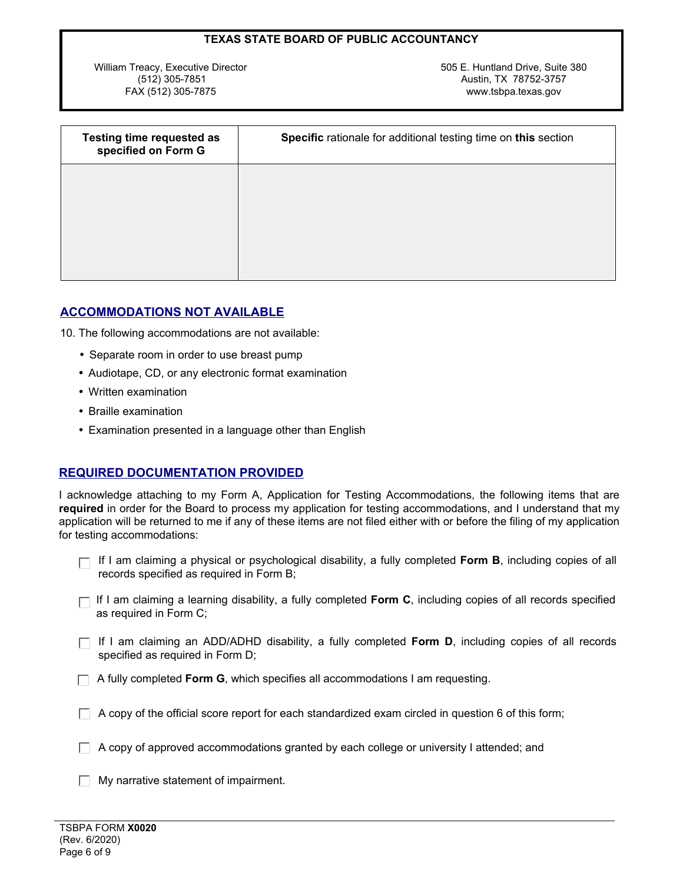William Treacy, Executive Director (512) 305-7851 FAX (512) 305-7875

505 E. Huntland Drive, Suite 380 Austin, TX 78752-3757 www.tsbpa.texas.gov

| <b>Testing time requested as</b><br>specified on Form G | Specific rationale for additional testing time on this section |  |
|---------------------------------------------------------|----------------------------------------------------------------|--|
|                                                         |                                                                |  |
|                                                         |                                                                |  |
|                                                         |                                                                |  |

## **ACCOMMODATIONS NOT AVAILABLE**

10. The following accommodations are not available:

- Separate room in order to use breast pump
- Audiotape, CD, or any electronic format examination
- Written examination
- Braille examination
- Examination presented in a language other than English

## **REQUIRED DOCUMENTATION PROVIDED**

I acknowledge attaching to my Form A, Application for Testing Accommodations, the following items that are **required** in order for the Board to process my application for testing accommodations, and I understand that my application will be returned to me if any of these items are not filed either with or before the filing of my application for testing accommodations:

- If I am claiming a physical or psychological disability, a fully completed **Form B**, including copies of all records specified as required in Form B;
- $\Box$  If I am claiming a learning disability, a fully completed **Form C**, including copies of all records specified as required in Form C;
- $\Box$  If I am claiming an ADD/ADHD disability, a fully completed **Form D**, including copies of all records specified as required in Form D;
- $\Box$  A fully completed **Form G**, which specifies all accommodations I am requesting.
- $\Box$  A copy of the official score report for each standardized exam circled in question 6 of this form;
- $\Box$  A copy of approved accommodations granted by each college or university I attended; and

My narrative statement of impairment.  $\Box$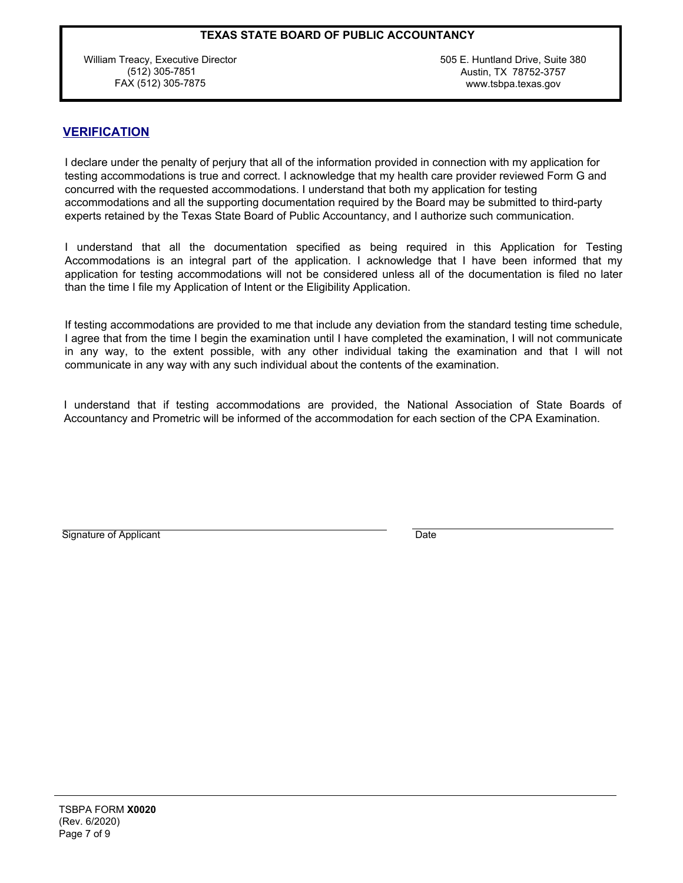William Treacy, Executive Director (512) 305-7851 FAX (512) 305-7875

505 E. Huntland Drive, Suite 380 Austin, TX 78752-3757 www.tsbpa.texas.gov

## **VERIFICATION**

I declare under the penalty of perjury that all of the information provided in connection with my application for testing accommodations is true and correct. I acknowledge that my health care provider reviewed Form G and concurred with the requested accommodations. I understand that both my application for testing accommodations and all the supporting documentation required by the Board may be submitted to third-party experts retained by the Texas State Board of Public Accountancy, and I authorize such communication.

I understand that all the documentation specified as being required in this Application for Testing Accommodations is an integral part of the application. I acknowledge that I have been informed that my application for testing accommodations will not be considered unless all of the documentation is filed no later than the time I file my Application of Intent or the Eligibility Application.

If testing accommodations are provided to me that include any deviation from the standard testing time schedule, I agree that from the time I begin the examination until I have completed the examination, I will not communicate in any way, to the extent possible, with any other individual taking the examination and that I will not communicate in any way with any such individual about the contents of the examination.

I understand that if testing accommodations are provided, the National Association of State Boards of Accountancy and Prometric will be informed of the accommodation for each section of the CPA Examination.

Signature of Applicant

**Date**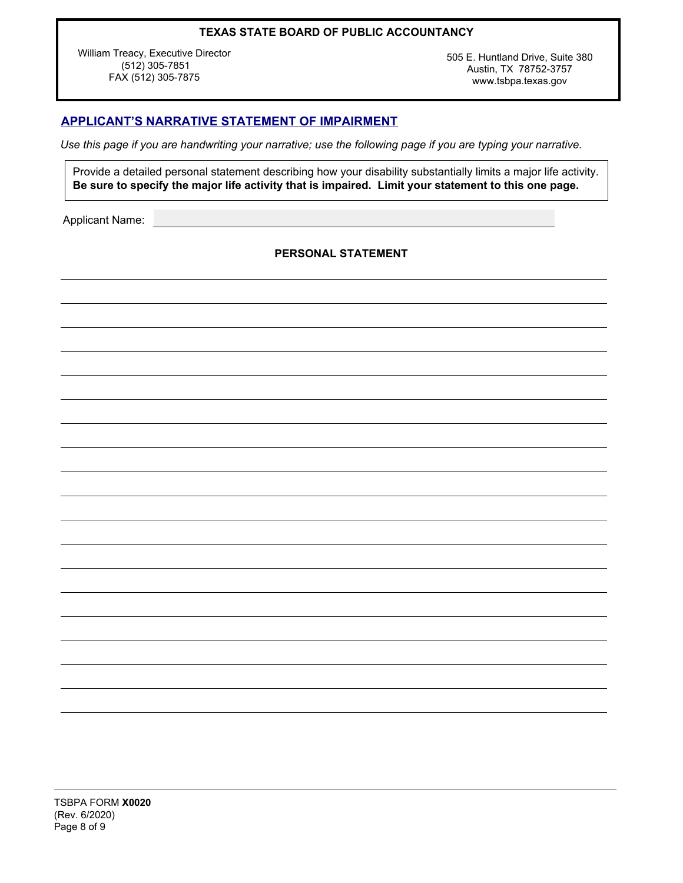William Treacy, Executive Director (512) 305-7851 FAX (512) 305-7875

505 E. Huntland Drive, Suite 380 Austin, TX 78752-3757 www.tsbpa.texas.gov

## **APPLICANT'S NARRATIVE STATEMENT OF IMPAIRMENT**

*Use this page if you are handwriting your narrative; use the following page if you are typing your narrative.*

Provide a detailed personal statement describing how your disability substantially limits a major life activity. **Be sure to specify the major life activity that is impaired. Limit your statement to this one page.**

Applicant Name:

**PERSONAL STATEMENT**